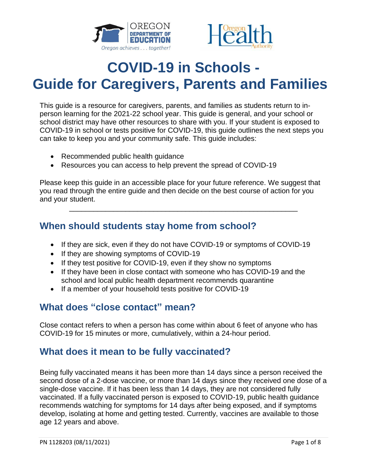



# **COVID-19 in Schools - Guide for Caregivers, Parents and Families**

This guide is a resource for caregivers, parents, and families as students return to inperson learning for the 2021-22 school year. This guide is general, and your school or school district may have other resources to share with you. If your student is exposed to COVID-19 in school or tests positive for COVID-19, this guide outlines the next steps you can take to keep you and your community safe. This guide includes:

- Recommended public health guidance
- Resources you can access to help prevent the spread of COVID-19

Please keep this guide in an accessible place for your future reference. We suggest that you read through the entire guide and then decide on the best course of action for you and your student.

\_\_\_\_\_\_\_\_\_\_\_\_\_\_\_\_\_\_\_\_\_\_\_\_\_\_\_\_\_\_\_\_\_\_\_\_\_\_\_\_\_\_\_\_\_\_\_\_\_\_\_\_\_\_\_\_\_

## **When should students stay home from school?**

- If they are sick, even if they do not have COVID-19 or symptoms of COVID-19
- If they are showing symptoms of COVID-19
- If they test positive for COVID-19, even if they show no symptoms
- If they have been in close contact with someone who has COVID-19 and the school and local public health department recommends quarantine
- If a member of your household tests positive for COVID-19

# **What does "close contact" mean?**

Close contact refers to when a person has come within about 6 feet of anyone who has COVID-19 for 15 minutes or more, cumulatively, within a 24-hour period.

## **What does it mean to be fully vaccinated?**

Being fully vaccinated means it has been more than 14 days since a person received the second dose of a 2-dose vaccine, or more than 14 days since they received one dose of a single-dose vaccine. If it has been less than 14 days, they are not considered fully vaccinated. If a fully vaccinated person is exposed to COVID-19, public health guidance recommends watching for symptoms for 14 days after being exposed, and if symptoms develop, isolating at home and getting tested. Currently, vaccines are available to those age 12 years and above.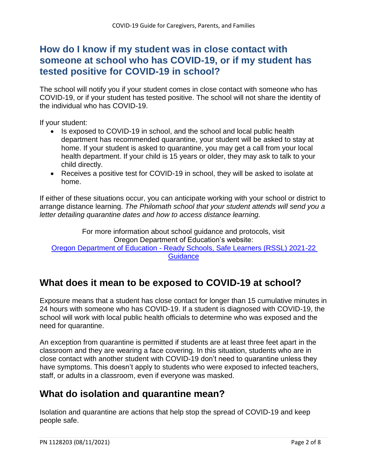# **How do I know if my student was in close contact with someone at school who has COVID-19, or if my student has tested positive for COVID-19 in school?**

The school will notify you if your student comes in close contact with someone who has COVID-19, or if your student has tested positive. The school will not share the identity of the individual who has COVID-19.

If your student:

- Is exposed to COVID-19 in school, and the school and local public health department has recommended quarantine, your student will be asked to stay at home. If your student is asked to quarantine, you may get a call from your local health department. If your child is 15 years or older, they may ask to talk to your child directly.
- Receives a positive test for COVID-19 in school, they will be asked to isolate at home.

If either of these situations occur, you can anticipate working with your school or district to arrange distance learning. *The Philomath school that your student attends will send you a letter detailing quarantine dates and how to access distance learning.*

For more information about school guidance and protocols, visit Oregon Department of Education's website: Oregon Department of Education - [Ready Schools, Safe Learners \(RSSL\) 2021-22](https://www.oregon.gov/ode/students-and-family/healthsafety/Pages/RSSL-Guidance.aspx)  **[Guidance](https://www.oregon.gov/ode/students-and-family/healthsafety/Pages/RSSL-Guidance.aspx)** 

## **What does it mean to be exposed to COVID-19 at school?**

Exposure means that a student has close contact for longer than 15 cumulative minutes in 24 hours with someone who has COVID-19. If a student is diagnosed with COVID-19, the school will work with local public health officials to determine who was exposed and the need for quarantine.

An exception from quarantine is permitted if students are at least three feet apart in the classroom and they are wearing a face covering. In this situation, students who are in close contact with another student with COVID-19 don't need to quarantine unless they have symptoms. This doesn't apply to students who were exposed to infected teachers, staff, or adults in a classroom, even if everyone was masked.

# **What do isolation and quarantine mean?**

Isolation and quarantine are actions that help stop the spread of COVID-19 and keep people safe.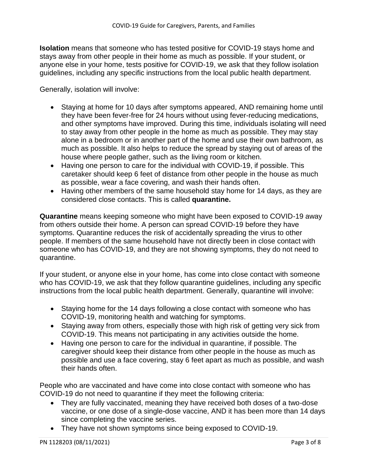**Isolation** means that someone who has tested positive for COVID-19 stays home and stays away from other people in their home as much as possible. If your student, or anyone else in your home, tests positive for COVID-19, we ask that they follow isolation guidelines, including any specific instructions from the local public health department.

Generally, isolation will involve:

- Staying at home for 10 days after symptoms appeared, AND remaining home until they have been fever-free for 24 hours without using fever-reducing medications, and other symptoms have improved. During this time, individuals isolating will need to stay away from other people in the home as much as possible. They may stay alone in a bedroom or in another part of the home and use their own bathroom, as much as possible. It also helps to reduce the spread by staying out of areas of the house where people gather, such as the living room or kitchen.
- Having one person to care for the individual with COVID-19, if possible. This caretaker should keep 6 feet of distance from other people in the house as much as possible, wear a face covering, and wash their hands often.
- Having other members of the same household stay home for 14 days, as they are considered close contacts. This is called **quarantine.**

**Quarantine** means keeping someone who might have been exposed to COVID-19 away from others outside their home. A person can spread COVID-19 before they have symptoms. Quarantine reduces the risk of accidentally spreading the virus to other people. If members of the same household have not directly been in close contact with someone who has COVID-19, and they are not showing symptoms, they do not need to quarantine.

If your student, or anyone else in your home, has come into close contact with someone who has COVID-19, we ask that they follow quarantine guidelines, including any specific instructions from the local public health department. Generally, quarantine will involve:

- Staying home for the 14 days following a close contact with someone who has COVID-19, monitoring health and watching for symptoms.
- Staying away from others, especially those with high risk of getting very sick from COVID-19. This means not participating in any activities outside the home.
- Having one person to care for the individual in quarantine, if possible. The caregiver should keep their distance from other people in the house as much as possible and use a face covering, stay 6 feet apart as much as possible, and wash their hands often.

People who are vaccinated and have come into close contact with someone who has COVID-19 do not need to quarantine if they meet the following criteria:

- They are fully vaccinated, meaning they have received both doses of a two-dose vaccine, or one dose of a single-dose vaccine, AND it has been more than 14 days since completing the vaccine series.
- They have not shown symptoms since being exposed to COVID-19.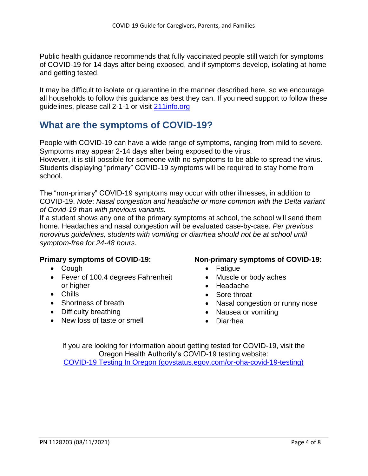Public health guidance recommends that fully vaccinated people still watch for symptoms of COVID-19 for 14 days after being exposed, and if symptoms develop, isolating at home and getting tested.

It may be difficult to isolate or quarantine in the manner described here, so we encourage all households to follow this guidance as best they can. If you need support to follow these guidelines, please call 2-1-1 or visit [211info.org](https://www.211info.org/)

## **What are the symptoms of COVID-19?**

People with COVID-19 can have a wide range of symptoms, ranging from mild to severe. Symptoms may appear 2-14 days after being exposed to the virus. However, it is still possible for someone with no symptoms to be able to spread the virus. Students displaying "primary" COVID-19 symptoms will be required to stay home from school.

The "non-primary" COVID-19 symptoms may occur with other illnesses, in addition to COVID-19. *Note*: *Nasal congestion and headache or more common with the Delta variant of Covid-19 than with previous variants.*

If a student shows any one of the primary symptoms at school, the school will send them home. Headaches and nasal congestion will be evaluated case-by-case. *Per previous norovirus guidelines, students with vomiting or diarrhea should not be at school until symptom-free for 24-48 hours.* 

#### **Primary symptoms of COVID-19:**

- Cough
- Fever of 100.4 degrees Fahrenheit or higher
- Chills
- Shortness of breath
- Difficulty breathing
- New loss of taste or smell

#### **Non-primary symptoms of COVID-19:**

- Fatique
- Muscle or body aches
- Headache
- Sore throat
- Nasal congestion or runny nose
- Nausea or vomiting
- Diarrhea

If you are looking for information about getting tested for COVID-19, visit the Oregon Health Authority's COVID-19 testing website: [COVID-19 Testing In Oregon \(govstatus.egov.com/or-oha-covid-19-testing\)](file://///pubs/pubNAS/!%20INACTIVE%20PROJECTS/OHA/Public%20Health/Coronavirus-19/PN%201128203%20Guidance%20for%20Caregivers,%20Parents,%20Families/JIC1251%204.15.2021/Working/govstatus.egov.com/or-oha-covid-19-testing)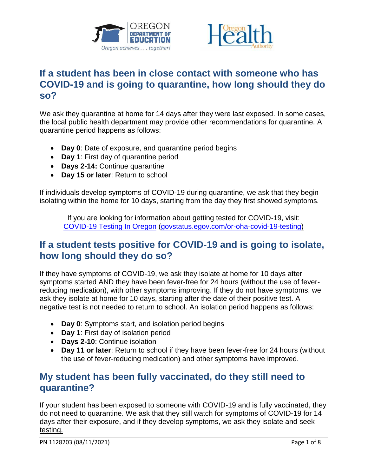



# **If a student has been in close contact with someone who has COVID-19 and is going to quarantine, how long should they do so?**

We ask they quarantine at home for 14 days after they were last exposed. In some cases, the local public health department may provide other recommendations for quarantine. A quarantine period happens as follows:

- **Day 0**: Date of exposure, and quarantine period begins
- **Day 1**: First day of quarantine period
- **Days 2-14:** Continue quarantine
- **Day 15 or later**: Return to school

If individuals develop symptoms of COVID-19 during quarantine, we ask that they begin isolating within the home for 10 days, starting from the day they first showed symptoms.

If you are looking for information about getting tested for COVID-19, visit: [COVID-19 Testing In Oregon](file:///C:/Users/OR0178767/AppData/Local/Microsoft/Windows/INetCache/Content.Outlook/EONE2KHA/govstatus.egov.com/or-oha-covid-19-testing) [\(govstatus.egov.com/or-oha-covid-19-testing\)](https://govstatus.egov.com/or-oha-covid-19-testing)

## **If a student tests positive for COVID-19 and is going to isolate, how long should they do so?**

If they have symptoms of COVID-19, we ask they isolate at home for 10 days after symptoms started AND they have been fever-free for 24 hours (without the use of feverreducing medication), with other symptoms improving. If they do not have symptoms, we ask they isolate at home for 10 days, starting after the date of their positive test. A negative test is not needed to return to school. An isolation period happens as follows:

- **Day 0**: Symptoms start, and isolation period begins
- **Day 1**: First day of isolation period
- **Days 2-10**: Continue isolation
- **Day 11 or later**: Return to school if they have been fever-free for 24 hours (without the use of fever-reducing medication) and other symptoms have improved.

# **My student has been fully vaccinated, do they still need to quarantine?**

If your student has been exposed to someone with COVID-19 and is fully vaccinated, they do not need to quarantine. We ask that they still watch for symptoms of COVID-19 for 14 days after their exposure, and if they develop symptoms, we ask they isolate and seek testing.

PN 1128203 (08/11/2021) 2012 12:00:00 Page 1 of 8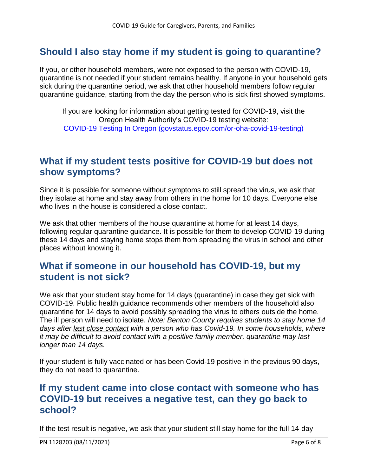# **Should I also stay home if my student is going to quarantine?**

If you, or other household members, were not exposed to the person with COVID-19, quarantine is not needed if your student remains healthy. If anyone in your household gets sick during the quarantine period, we ask that other household members follow regular quarantine guidance, starting from the day the person who is sick first showed symptoms.

If you are looking for information about getting tested for COVID-19, visit the Oregon Health Authority's COVID-19 testing website: [COVID-19 Testing In Oregon \(govstatus.egov.com/or-oha-covid-19-testing\)](file://///pubs/pubNAS/!%20INACTIVE%20PROJECTS/OHA/Public%20Health/Coronavirus-19/PN%201128203%20Guidance%20for%20Caregivers,%20Parents,%20Families/JIC1251%204.15.2021/Working/COVID-19%20Testing%20In%20Oregon%20(govstatus.egov.com/or-oha-covid-19-testing))

#### **What if my student tests positive for COVID-19 but does not show symptoms?**

Since it is possible for someone without symptoms to still spread the virus, we ask that they isolate at home and stay away from others in the home for 10 days. Everyone else who lives in the house is considered a close contact.

We ask that other members of the house quarantine at home for at least 14 days, following regular quarantine guidance. It is possible for them to develop COVID-19 during these 14 days and staying home stops them from spreading the virus in school and other places without knowing it.

## **What if someone in our household has COVID-19, but my student is not sick?**

We ask that your student stay home for 14 days (quarantine) in case they get sick with COVID-19. Public health guidance recommends other members of the household also quarantine for 14 days to avoid possibly spreading the virus to others outside the home. The ill person will need to isolate. *Note: Benton County requires students to stay home 14 days after last close contact with a person who has Covid-19. In some households, where it may be difficult to avoid contact with a positive family member, quarantine may last longer than 14 days.* 

If your student is fully vaccinated or has been Covid-19 positive in the previous 90 days, they do not need to quarantine.

## **If my student came into close contact with someone who has COVID-19 but receives a negative test, can they go back to school?**

If the test result is negative, we ask that your student still stay home for the full 14-day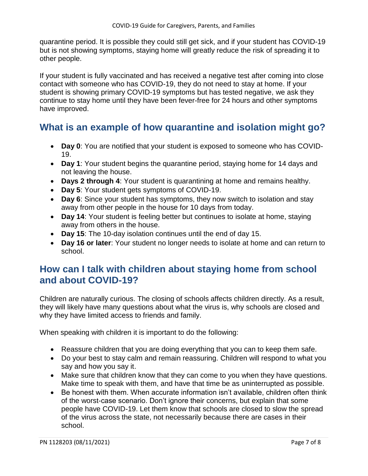quarantine period. It is possible they could still get sick, and if your student has COVID-19 but is not showing symptoms, staying home will greatly reduce the risk of spreading it to other people.

If your student is fully vaccinated and has received a negative test after coming into close contact with someone who has COVID-19, they do not need to stay at home. If your student is showing primary COVID-19 symptoms but has tested negative, we ask they continue to stay home until they have been fever-free for 24 hours and other symptoms have improved.

# **What is an example of how quarantine and isolation might go?**

- **Day 0**: You are notified that your student is exposed to someone who has COVID-19.
- **Day 1**: Your student begins the quarantine period, staying home for 14 days and not leaving the house.
- **Days 2 through 4**: Your student is quarantining at home and remains healthy.
- **Day 5**: Your student gets symptoms of COVID-19.
- **Day 6**: Since your student has symptoms, they now switch to isolation and stay away from other people in the house for 10 days from today.
- **Day 14**: Your student is feeling better but continues to isolate at home, staying away from others in the house.
- **Day 15**: The 10-day isolation continues until the end of day 15.
- **Day 16 or later**: Your student no longer needs to isolate at home and can return to school.

# **How can I talk with children about staying home from school and about COVID-19?**

Children are naturally curious. The closing of schools affects children directly. As a result, they will likely have many questions about what the virus is, why schools are closed and why they have limited access to friends and family.

When speaking with children it is important to do the following:

- Reassure children that you are doing everything that you can to keep them safe.
- Do your best to stay calm and remain reassuring. Children will respond to what you say and how you say it.
- Make sure that children know that they can come to you when they have questions. Make time to speak with them, and have that time be as uninterrupted as possible.
- Be honest with them. When accurate information isn't available, children often think of the worst-case scenario. Don't ignore their concerns, but explain that some people have COVID-19. Let them know that schools are closed to slow the spread of the virus across the state, not necessarily because there are cases in their school.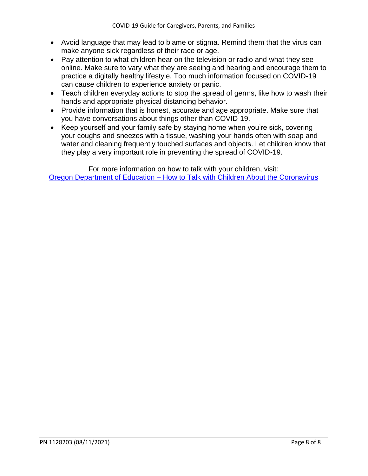- Avoid language that may lead to blame or stigma. Remind them that the virus can make anyone sick regardless of their race or age.
- Pay attention to what children hear on the television or radio and what they see online. Make sure to vary what they are seeing and hearing and encourage them to practice a digitally healthy lifestyle. Too much information focused on COVID-19 can cause children to experience anxiety or panic.
- Teach children everyday actions to stop the spread of germs, like how to wash their hands and appropriate physical distancing behavior.
- Provide information that is honest, accurate and age appropriate. Make sure that you have conversations about things other than COVID-19.
- Keep yourself and your family safe by staying home when you're sick, covering your coughs and sneezes with a tissue, washing your hands often with soap and water and cleaning frequently touched surfaces and objects. Let children know that they play a very important role in preventing the spread of COVID-19.

For more information on how to talk with your children, visit: Oregon Department of Education – [How to Talk with Children About the Coronavirus](https://www.oregon.gov/ode/students-and-family/healthsafety/Documents/6.%20How%20to%20Talk%20With%20Children%20About%20the%20Coronavirus.pdf)